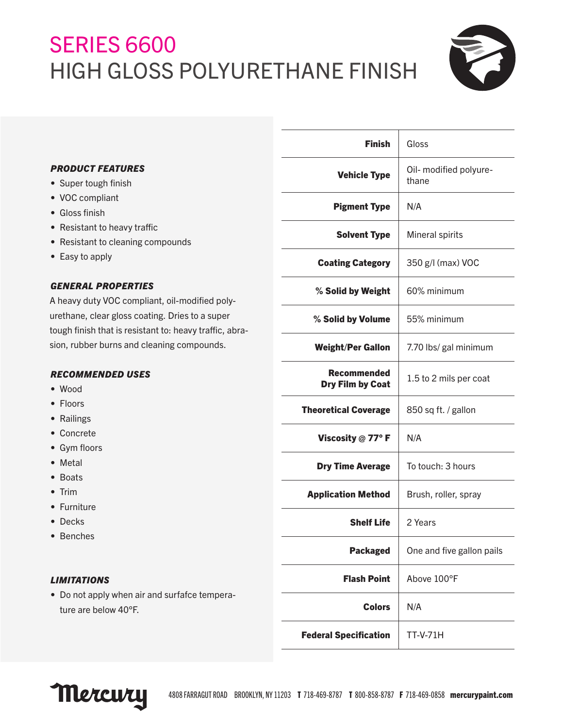# SERIES 6600 HIGH GLOSS POLYURETHANE FINISH



## *PRODUCT FEATURES*

- Super tough finish
- VOC compliant
- Gloss finish
- Resistant to heavy traffic
- Resistant to cleaning compounds
- Easy to apply

# *GENERAL PROPERTIES*

A heavy duty VOC compliant, oil-modified polyurethane, clear gloss coating. Dries to a super tough finish that is resistant to: heavy traffic, abrasion, rubber burns and cleaning compounds.

### *RECOMMENDED USES*

- Wood
- Floors
- Railings
- Concrete
- Gym floors
- Metal
- Boats
- Trim
- Furniture
- Decks
- Benches

#### *LIMITATIONS*

• Do not apply when air and surfafce temperature are below 40°F.

| <b>Finish</b>                          | Gloss                           |
|----------------------------------------|---------------------------------|
| <b>Vehicle Type</b>                    | Oil- modified polyure-<br>thane |
| <b>Pigment Type</b>                    | N/A                             |
| <b>Solvent Type</b>                    | Mineral spirits                 |
| <b>Coating Category</b>                | 350 g/l (max) VOC               |
| % Solid by Weight                      | 60% minimum                     |
| % Solid by Volume                      | 55% minimum                     |
| <b>Weight/Per Gallon</b>               | 7.70 lbs/ gal minimum           |
| Recommended<br><b>Dry Film by Coat</b> | 1.5 to 2 mils per coat          |
| <b>Theoretical Coverage</b>            | 850 sq ft. / gallon             |
| Viscosity $@$ 77° F                    | N/A                             |
| <b>Dry Time Average</b>                | To touch: 3 hours               |
| <b>Application Method</b>              | Brush, roller, spray            |
| <b>Shelf Life</b>                      | 2 Years                         |
| <b>Packaged</b>                        | One and five gallon pails       |
| <b>Flash Point</b>                     | Above 100°F                     |
| <b>Colors</b>                          | N/A                             |
| <b>Federal Specification</b>           | TT-V-71H                        |